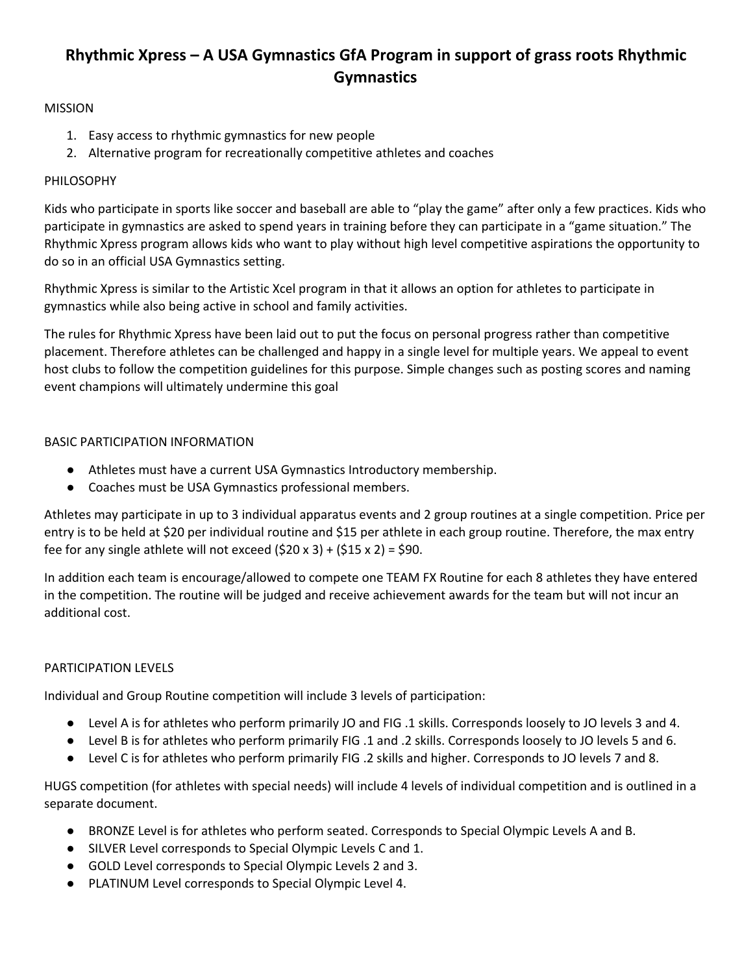# **Rhythmic Xpress – A USA Gymnastics GfA Program in support of grass roots Rhythmic Gymnastics**

## MISSION

- 1. Easy access to rhythmic gymnastics for new people
- 2. Alternative program for recreationally competitive athletes and coaches

### PHILOSOPHY

Kids who participate in sports like soccer and baseball are able to "play the game" after only a few practices. Kids who participate in gymnastics are asked to spend years in training before they can participate in a "game situation." The Rhythmic Xpress program allows kids who want to play without high level competitive aspirations the opportunity to do so in an official USA Gymnastics setting.

Rhythmic Xpress is similar to the Artistic Xcel program in that it allows an option for athletes to participate in gymnastics while also being active in school and family activities.

The rules for Rhythmic Xpress have been laid out to put the focus on personal progress rather than competitive placement. Therefore athletes can be challenged and happy in a single level for multiple years. We appeal to event host clubs to follow the competition guidelines for this purpose. Simple changes such as posting scores and naming event champions will ultimately undermine this goal

#### BASIC PARTICIPATION INFORMATION

- Athletes must have a current USA Gymnastics Introductory membership.
- Coaches must be USA Gymnastics professional members.

Athletes may participate in up to 3 individual apparatus events and 2 group routines at a single competition. Price per entry is to be held at \$20 per individual routine and \$15 per athlete in each group routine. Therefore, the max entry fee for any single athlete will not exceed  $(520 \times 3) + (515 \times 2) = 590$ .

In addition each team is encourage/allowed to compete one TEAM FX Routine for each 8 athletes they have entered in the competition. The routine will be judged and receive achievement awards for the team but will not incur an additional cost.

## PARTICIPATION LEVELS

Individual and Group Routine competition will include 3 levels of participation:

- Level A is for athletes who perform primarily JO and FIG .1 skills. Corresponds loosely to JO levels 3 and 4.
- Level B is for athletes who perform primarily FIG .1 and .2 skills. Corresponds loosely to JO levels 5 and 6.
- Level C is for athletes who perform primarily FIG .2 skills and higher. Corresponds to JO levels 7 and 8.

HUGS competition (for athletes with special needs) will include 4 levels of individual competition and is outlined in a separate document.

- BRONZE Level is for athletes who perform seated. Corresponds to Special Olympic Levels A and B.
- SILVER Level corresponds to Special Olympic Levels C and 1.
- GOLD Level corresponds to Special Olympic Levels 2 and 3.
- PLATINUM Level corresponds to Special Olympic Level 4.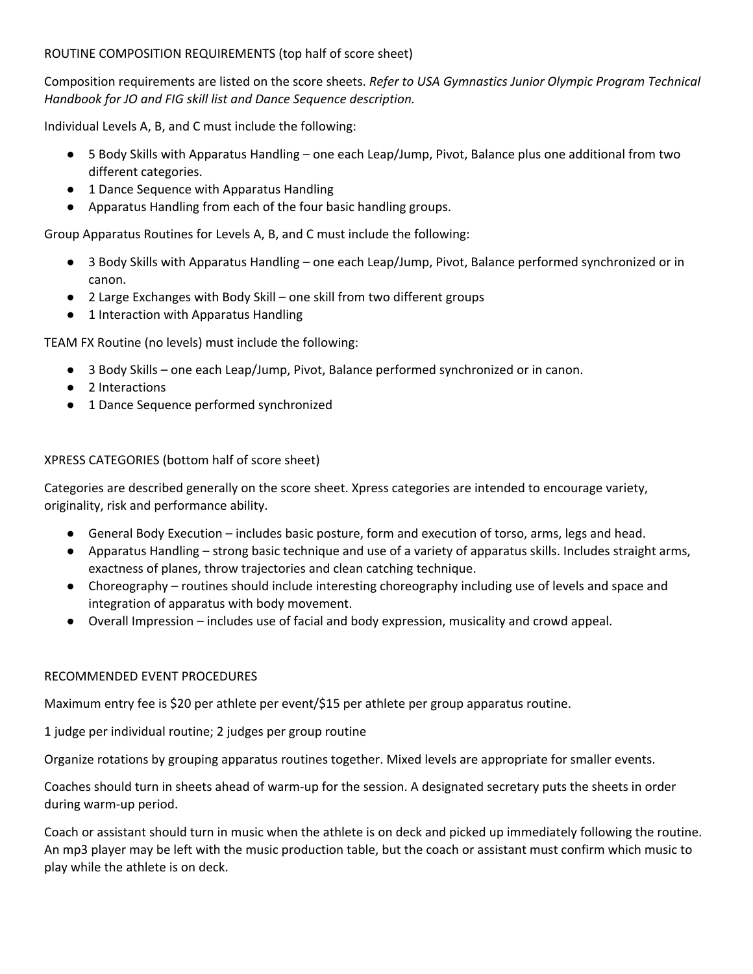## ROUTINE COMPOSITION REQUIREMENTS (top half of score sheet)

Composition requirements are listed on the score sheets. *Refer to USA Gymnastics Junior Olympic Program Technical Handbook for JO and FIG skill list and Dance Sequence description.*

Individual Levels A, B, and C must include the following:

- 5 Body Skills with Apparatus Handling one each Leap/Jump, Pivot, Balance plus one additional from two different categories.
- 1 Dance Sequence with Apparatus Handling
- Apparatus Handling from each of the four basic handling groups.

Group Apparatus Routines for Levels A, B, and C must include the following:

- 3 Body Skills with Apparatus Handling one each Leap/Jump, Pivot, Balance performed synchronized or in canon.
- 2 Large Exchanges with Body Skill one skill from two different groups
- 1 Interaction with Apparatus Handling

TEAM FX Routine (no levels) must include the following:

- 3 Body Skills one each Leap/Jump, Pivot, Balance performed synchronized or in canon.
- 2 Interactions
- 1 Dance Sequence performed synchronized

## XPRESS CATEGORIES (bottom half of score sheet)

Categories are described generally on the score sheet. Xpress categories are intended to encourage variety, originality, risk and performance ability.

- General Body Execution includes basic posture, form and execution of torso, arms, legs and head.
- Apparatus Handling strong basic technique and use of a variety of apparatus skills. Includes straight arms, exactness of planes, throw trajectories and clean catching technique.
- Choreography routines should include interesting choreography including use of levels and space and integration of apparatus with body movement.
- Overall Impression includes use of facial and body expression, musicality and crowd appeal.

## RECOMMENDED EVENT PROCEDURES

Maximum entry fee is \$20 per athlete per event/\$15 per athlete per group apparatus routine.

1 judge per individual routine; 2 judges per group routine

Organize rotations by grouping apparatus routines together. Mixed levels are appropriate for smaller events.

Coaches should turn in sheets ahead of warm-up for the session. A designated secretary puts the sheets in order during warm-up period.

Coach or assistant should turn in music when the athlete is on deck and picked up immediately following the routine. An mp3 player may be left with the music production table, but the coach or assistant must confirm which music to play while the athlete is on deck.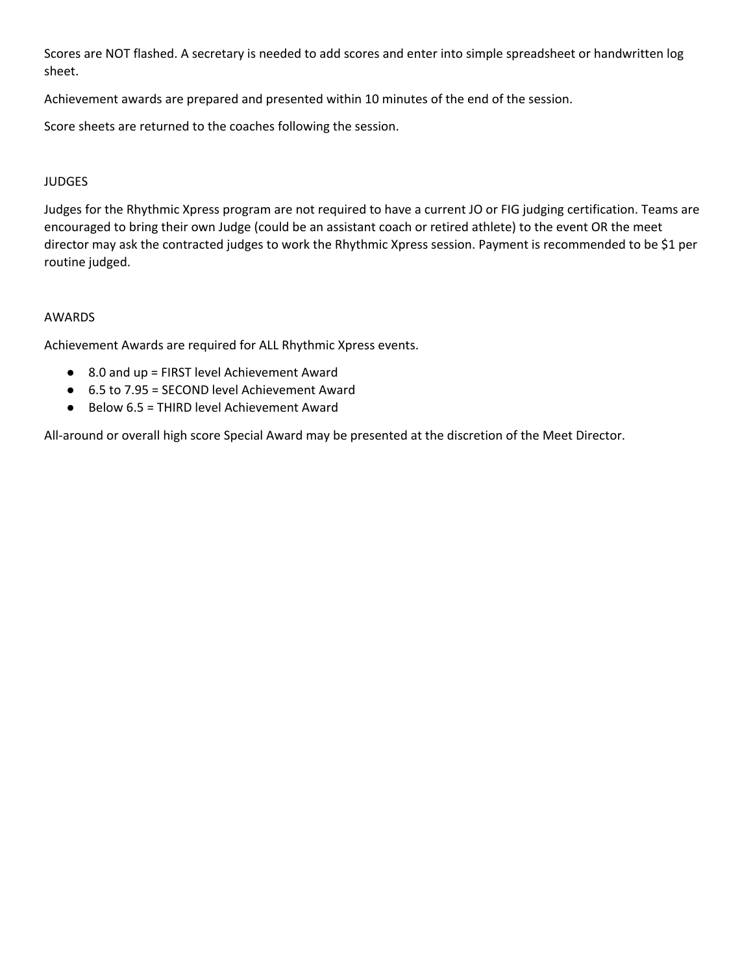Scores are NOT flashed. A secretary is needed to add scores and enter into simple spreadsheet or handwritten log sheet.

Achievement awards are prepared and presented within 10 minutes of the end of the session.

Score sheets are returned to the coaches following the session.

### JUDGES

Judges for the Rhythmic Xpress program are not required to have a current JO or FIG judging certification. Teams are encouraged to bring their own Judge (could be an assistant coach or retired athlete) to the event OR the meet director may ask the contracted judges to work the Rhythmic Xpress session. Payment is recommended to be \$1 per routine judged.

#### AWARDS

Achievement Awards are required for ALL Rhythmic Xpress events.

- 8.0 and up = FIRST level Achievement Award
- 6.5 to 7.95 = SECOND level Achievement Award
- Below 6.5 = THIRD level Achievement Award

All-around or overall high score Special Award may be presented at the discretion of the Meet Director.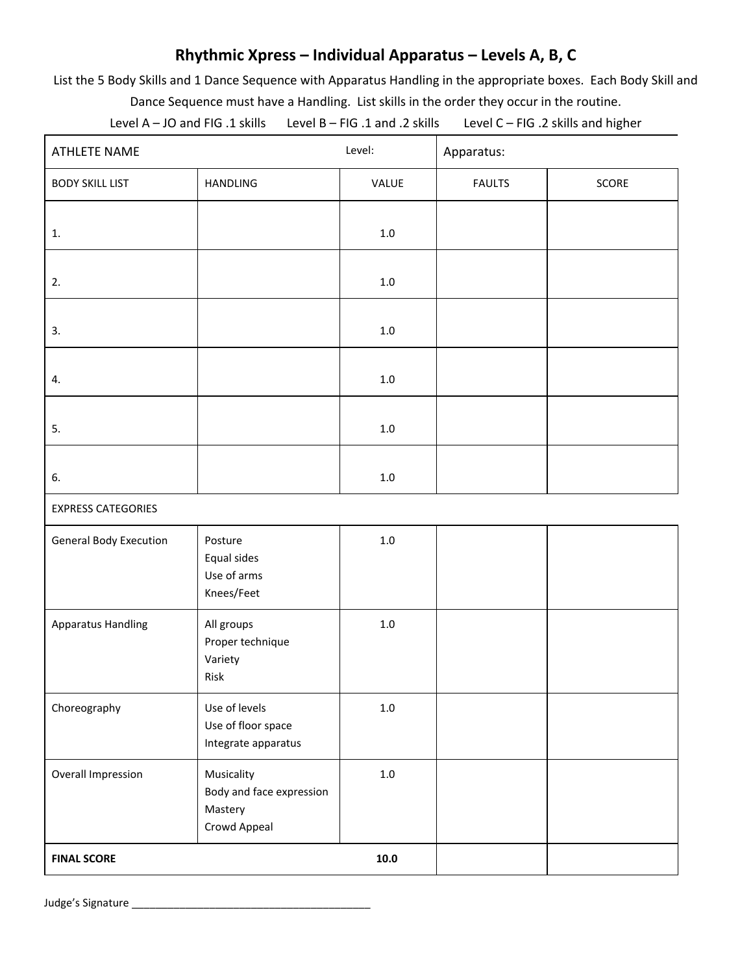## **Rhythmic Xpress – Individual Apparatus – Levels A, B, C**

List the 5 Body Skills and 1 Dance Sequence with Apparatus Handling in the appropriate boxes. Each Body Skill and Dance Sequence must have a Handling. List skills in the order they occur in the routine.

Level A – JO and FIG .1 skills Level B – FIG .1 and .2 skills Level C – FIG .2 skills and higher

| <b>ATHLETE NAME</b>           |                                                                   | Level:   | Apparatus:    |       |  |  |
|-------------------------------|-------------------------------------------------------------------|----------|---------------|-------|--|--|
| <b>BODY SKILL LIST</b>        | HANDLING                                                          | VALUE    | <b>FAULTS</b> | SCORE |  |  |
| 1.                            |                                                                   | $1.0\,$  |               |       |  |  |
| 2.                            |                                                                   | $1.0\,$  |               |       |  |  |
| 3.                            |                                                                   | $1.0\,$  |               |       |  |  |
| 4.                            |                                                                   | $1.0\,$  |               |       |  |  |
| 5.                            |                                                                   | $1.0\,$  |               |       |  |  |
| 6.                            |                                                                   | $1.0\,$  |               |       |  |  |
| <b>EXPRESS CATEGORIES</b>     |                                                                   |          |               |       |  |  |
| <b>General Body Execution</b> | Posture<br>Equal sides<br>Use of arms<br>Knees/Feet               | $1.0\,$  |               |       |  |  |
| <b>Apparatus Handling</b>     | All groups<br>Proper technique<br>Variety<br>Risk                 | $1.0\,$  |               |       |  |  |
| Choreography                  | Use of levels<br>Use of floor space<br>Integrate apparatus        | $1.0\,$  |               |       |  |  |
| Overall Impression            | Musicality<br>Body and face expression<br>Mastery<br>Crowd Appeal | $1.0\,$  |               |       |  |  |
| <b>FINAL SCORE</b>            |                                                                   | $10.0\,$ |               |       |  |  |

Judge's Signature \_\_\_\_\_\_\_\_\_\_\_\_\_\_\_\_\_\_\_\_\_\_\_\_\_\_\_\_\_\_\_\_\_\_\_\_\_\_\_\_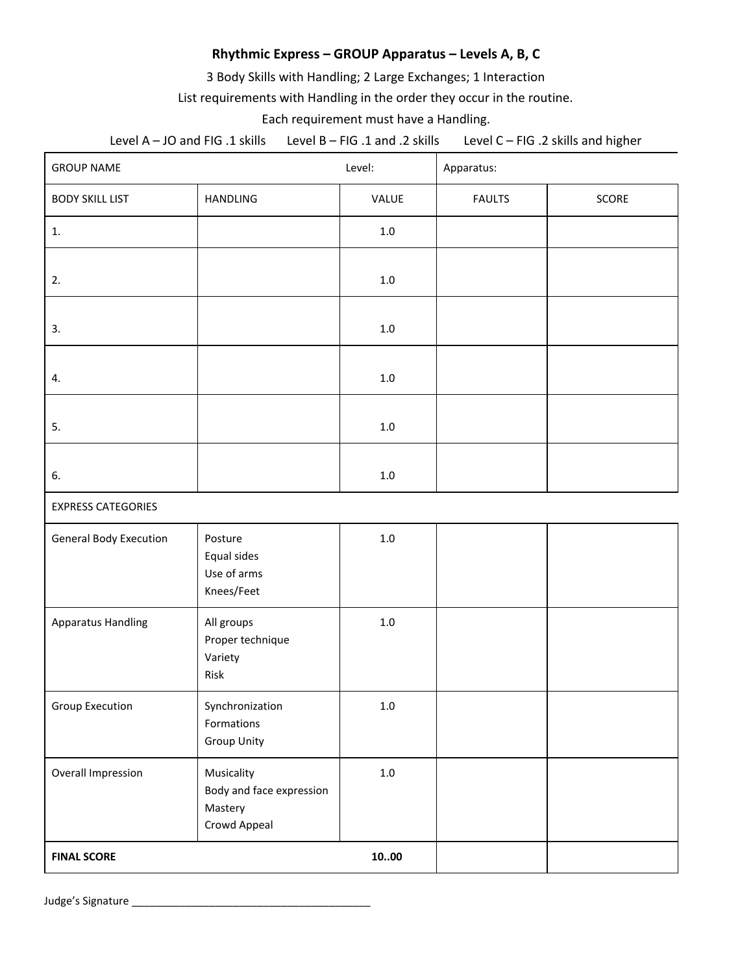## **Rhythmic Express – GROUP Apparatus – Levels A, B, C**

3 Body Skills with Handling; 2 Large Exchanges; 1 Interaction

List requirements with Handling in the order they occur in the routine.

Each requirement must have a Handling.

Level A – JO and FIG .1 skills Level B – FIG .1 and .2 skills Level C – FIG .2 skills and higher

| <b>GROUP NAME</b>             |                                                                   | Level:  | Apparatus:    |       |
|-------------------------------|-------------------------------------------------------------------|---------|---------------|-------|
| <b>BODY SKILL LIST</b>        | HANDLING                                                          | VALUE   | <b>FAULTS</b> | SCORE |
| 1.                            |                                                                   | $1.0\,$ |               |       |
| 2.                            |                                                                   | $1.0\,$ |               |       |
| 3.                            |                                                                   | $1.0\,$ |               |       |
| 4.                            |                                                                   | $1.0\,$ |               |       |
| 5.                            |                                                                   | $1.0\,$ |               |       |
| 6.                            |                                                                   | $1.0\,$ |               |       |
| <b>EXPRESS CATEGORIES</b>     |                                                                   |         |               |       |
| <b>General Body Execution</b> | Posture<br>Equal sides<br>Use of arms<br>Knees/Feet               | $1.0\,$ |               |       |
| <b>Apparatus Handling</b>     | All groups<br>Proper technique<br>Variety<br>Risk                 | $1.0\,$ |               |       |
| Group Execution               | Synchronization<br>Formations<br><b>Group Unity</b>               | $1.0\,$ |               |       |
| Overall Impression            | Musicality<br>Body and face expression<br>Mastery<br>Crowd Appeal | $1.0\,$ |               |       |
| 1000<br><b>FINAL SCORE</b>    |                                                                   |         |               |       |